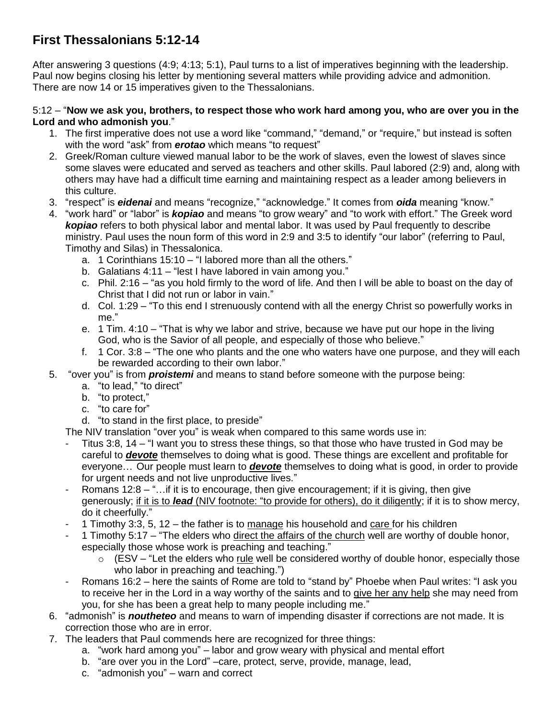# **First Thessalonians 5:12-14**

After answering 3 questions (4:9; 4:13; 5:1), Paul turns to a list of imperatives beginning with the leadership. Paul now begins closing his letter by mentioning several matters while providing advice and admonition. There are now 14 or 15 imperatives given to the Thessalonians.

#### 5:12 – "**Now we ask you, brothers, to respect those who work hard among you, who are over you in the Lord and who admonish you**."

- 1. The first imperative does not use a word like "command," "demand," or "require," but instead is soften with the word "ask" from *erotao* which means "to request"
- 2. Greek/Roman culture viewed manual labor to be the work of slaves, even the lowest of slaves since some slaves were educated and served as teachers and other skills. Paul labored (2:9) and, along with others may have had a difficult time earning and maintaining respect as a leader among believers in this culture.
- 3. "respect" is *eidenai* and means "recognize," "acknowledge." It comes from *oida* meaning "know."
- 4. "work hard" or "labor" is *kopiao* and means "to grow weary" and "to work with effort." The Greek word *kopiao* refers to both physical labor and mental labor. It was used by Paul frequently to describe ministry. Paul uses the noun form of this word in 2:9 and 3:5 to identify "our labor" (referring to Paul, Timothy and Silas) in Thessalonica.
	- a. 1 Corinthians 15:10 "I labored more than all the others."
	- b. Galatians 4:11 "lest I have labored in vain among you."
	- c. Phil. 2:16 "as you hold firmly to the word of life. And then I will be able to boast on the day of Christ that I did not run or labor in vain."
	- d. Col. 1:29 "To this end I strenuously contend with all the energy Christ so powerfully works in me."
	- e. 1 Tim. 4:10 "That is why we labor and strive, because we have put our hope in the living God, who is the Savior of all people, and especially of those who believe."
	- f. 1 Cor. 3:8 "The one who plants and the one who waters have one purpose, and they will each be rewarded according to their own labor."
- 5. "over you" is from *proistemi* and means to stand before someone with the purpose being:
	- a. "to lead," "to direct"
	- b. "to protect,"
	- c. "to care for"
	- d. "to stand in the first place, to preside"
	- The NIV translation "over you" is weak when compared to this same words use in:
	- Titus 3:8, 14 "I want you to stress these things, so that those who have trusted in God may be careful to *devote* themselves to doing what is good. These things are excellent and profitable for everyone… Our people must learn to *devote* themselves to doing what is good, in order to provide for urgent needs and not live unproductive lives."
	- Romans 12:8 "...if it is to encourage, then give encouragement; if it is giving, then give generously; if it is to *lead* (NIV footnote: "to provide for others), do it diligently; if it is to show mercy, do it cheerfully."
	- 1 Timothy 3:3, 5, 12 the father is to manage his household and care for his children
	- 1 Timothy 5:17 "The elders who direct the affairs of the church well are worthy of double honor, especially those whose work is preaching and teaching."
		- $\circ$  (ESV "Let the elders who rule well be considered worthy of double honor, especially those who labor in preaching and teaching.")
	- Romans 16:2 here the saints of Rome are told to "stand by" Phoebe when Paul writes: "I ask you to receive her in the Lord in a way worthy of the saints and to give her any help she may need from you, for she has been a great help to many people including me."
- 6. "admonish" is *noutheteo* and means to warn of impending disaster if corrections are not made. It is correction those who are in error.
- 7. The leaders that Paul commends here are recognized for three things:
	- a. "work hard among you" labor and grow weary with physical and mental effort
	- b. "are over you in the Lord" –care, protect, serve, provide, manage, lead,
	- c. "admonish you" warn and correct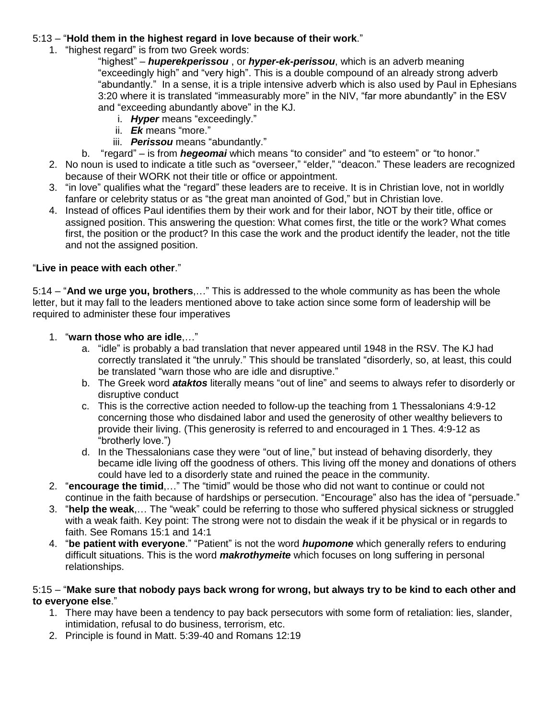# 5:13 – "**Hold them in the highest regard in love because of their work**."

1. "highest regard" is from two Greek words:

"highest" – *huperekperissou* , or *hyper-ek-perissou*, which is an adverb meaning "exceedingly high" and "very high". This is a double compound of an already strong adverb "abundantly." In a sense, it is a triple intensive adverb which is also used by Paul in Ephesians 3:20 where it is translated "immeasurably more" in the NIV, "far more abundantly" in the ESV and "exceeding abundantly above" in the KJ.

- i. *Hyper* means "exceedingly."
- ii. *Ek* means "more."
- iii. *Perissou* means "abundantly."
- b. "regard" is from *hegeomai* which means "to consider" and "to esteem" or "to honor."
- 2. No noun is used to indicate a title such as "overseer," "elder," "deacon." These leaders are recognized because of their WORK not their title or office or appointment.
- 3. "in love" qualifies what the "regard" these leaders are to receive. It is in Christian love, not in worldly fanfare or celebrity status or as "the great man anointed of God," but in Christian love.
- 4. Instead of offices Paul identifies them by their work and for their labor, NOT by their title, office or assigned position. This answering the question: What comes first, the title or the work? What comes first, the position or the product? In this case the work and the product identify the leader, not the title and not the assigned position.

# "**Live in peace with each other**."

5:14 – "**And we urge you, brothers**,…" This is addressed to the whole community as has been the whole letter, but it may fall to the leaders mentioned above to take action since some form of leadership will be required to administer these four imperatives

- 1. "**warn those who are idle**,…"
	- a. "idle" is probably a bad translation that never appeared until 1948 in the RSV. The KJ had correctly translated it "the unruly." This should be translated "disorderly, so, at least, this could be translated "warn those who are idle and disruptive."
	- b. The Greek word *ataktos* literally means "out of line" and seems to always refer to disorderly or disruptive conduct
	- c. This is the corrective action needed to follow-up the teaching from 1 Thessalonians 4:9-12 concerning those who disdained labor and used the generosity of other wealthy believers to provide their living. (This generosity is referred to and encouraged in 1 Thes. 4:9-12 as "brotherly love.")
	- d. In the Thessalonians case they were "out of line," but instead of behaving disorderly, they became idle living off the goodness of others. This living off the money and donations of others could have led to a disorderly state and ruined the peace in the community.
- 2. "**encourage the timid**,…" The "timid" would be those who did not want to continue or could not continue in the faith because of hardships or persecution. "Encourage" also has the idea of "persuade."
- 3. "**help the weak**,… The "weak" could be referring to those who suffered physical sickness or struggled with a weak faith. Key point: The strong were not to disdain the weak if it be physical or in regards to faith. See Romans 15:1 and 14:1
- 4. "**be patient with everyone**." "Patient" is not the word *hupomone* which generally refers to enduring difficult situations. This is the word *makrothymeite* which focuses on long suffering in personal relationships.

#### 5:15 – "**Make sure that nobody pays back wrong for wrong, but always try to be kind to each other and to everyone else**."

- 1. There may have been a tendency to pay back persecutors with some form of retaliation: lies, slander, intimidation, refusal to do business, terrorism, etc.
- 2. Principle is found in Matt. 5:39-40 and Romans 12:19